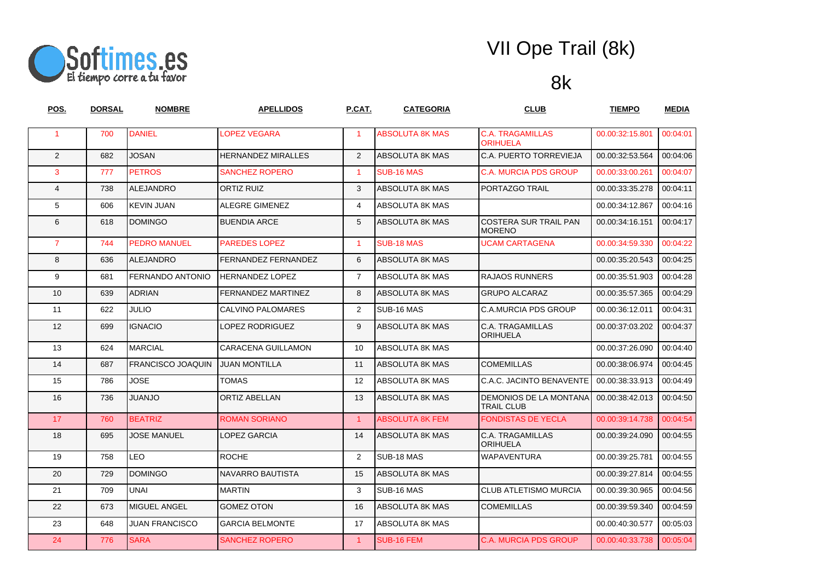

| <u>POS.</u>    | <u>DORSAL</u> | <b>NOMBRE</b>            | <u>APELLIDOS</u>           | P.CAT.            | <b>CATEGORIA</b>       | <u>CLUB</u>                                        | <b>TIEMPO</b>   | <b>MEDIA</b> |
|----------------|---------------|--------------------------|----------------------------|-------------------|------------------------|----------------------------------------------------|-----------------|--------------|
| $\mathbf{1}$   | 700           | <b>DANIEL</b>            | <b>LOPEZ VEGARA</b>        | 1                 | <b>ABSOLUTA 8K MAS</b> | <b>C.A. TRAGAMILLAS</b><br><b>ORIHUELA</b>         | 00.00:32:15.801 | 00:04:01     |
| 2              | 682           | <b>JOSAN</b>             | <b>HERNANDEZ MIRALLES</b>  | $\overline{2}$    | ABSOLUTA 8K MAS        | C.A. PUERTO TORREVIEJA                             | 00.00:32:53.564 | 00:04:06     |
| 3              | 777           | <b>PETROS</b>            | <b>SANCHEZ ROPERO</b>      | $\mathbf{1}$      | <b>SUB-16 MAS</b>      | <b>C.A. MURCIA PDS GROUP</b>                       | 00.00:33:00.261 | 00:04:07     |
| $\overline{4}$ | 738           | <b>ALEJANDRO</b>         | <b>ORTIZ RUIZ</b>          | 3                 | ABSOLUTA 8K MAS        | PORTAZGO TRAIL                                     | 00.00:33:35.278 | 00:04:11     |
| 5              | 606           | <b>KEVIN JUAN</b>        | ALEGRE GIMENEZ             | 4                 | ABSOLUTA 8K MAS        |                                                    | 00.00:34:12.867 | 00:04:16     |
| 6              | 618           | <b>DOMINGO</b>           | <b>BUENDIA ARCE</b>        | 5                 | ABSOLUTA 8K MAS        | <b>COSTERA SUR TRAIL PAN</b><br><b>MORENO</b>      | 00.00:34:16.151 | 00:04:17     |
| $\overline{7}$ | 744           | <b>PEDRO MANUEL</b>      | <b>PAREDES LOPEZ</b>       | $\mathbf{1}$      | SUB-18 MAS             | <b>UCAM CARTAGENA</b>                              | 00.00:34:59.330 | 00:04:22     |
| 8              | 636           | <b>ALEJANDRO</b>         | <b>FERNANDEZ FERNANDEZ</b> | 6                 | ABSOLUTA 8K MAS        |                                                    | 00.00:35:20.543 | 00:04:25     |
| 9              | 681           | FERNANDO ANTONIO         | <b>HERNANDEZ LOPEZ</b>     | $\overline{7}$    | ABSOLUTA 8K MAS        | <b>RAJAOS RUNNERS</b>                              | 00.00:35:51.903 | 00:04:28     |
| 10             | 639           | <b>ADRIAN</b>            | <b>FERNANDEZ MARTINEZ</b>  | 8                 | ABSOLUTA 8K MAS        | <b>GRUPO ALCARAZ</b>                               | 00.00:35:57.365 | 00:04:29     |
| 11             | 622           | <b>JULIO</b>             | CALVINO PALOMARES          | $\overline{2}$    | SUB-16 MAS             | <b>C.A.MURCIA PDS GROUP</b>                        | 00.00:36:12.011 | 00:04:31     |
| 12             | 699           | <b>IGNACIO</b>           | LOPEZ RODRIGUEZ            | 9                 | ABSOLUTA 8K MAS        | C.A. TRAGAMILLAS<br><b>ORIHUELA</b>                | 00.00:37:03.202 | 00:04:37     |
| 13             | 624           | <b>MARCIAL</b>           | <b>CARACENA GUILLAMON</b>  | 10                | ABSOLUTA 8K MAS        |                                                    | 00.00:37:26.090 | 00:04:40     |
| 14             | 687           | <b>FRANCISCO JOAQUIN</b> | <b>JUAN MONTILLA</b>       | 11                | ABSOLUTA 8K MAS        | <b>COMEMILLAS</b>                                  | 00.00:38:06.974 | 00:04:45     |
| 15             | 786           | <b>JOSE</b>              | <b>TOMAS</b>               | $12 \overline{ }$ | ABSOLUTA 8K MAS        | C.A.C. JACINTO BENAVENTE                           | 00.00:38:33.913 | 00:04:49     |
| 16             | 736           | <b>JUANJO</b>            | <b>ORTIZ ABELLAN</b>       | 13                | ABSOLUTA 8K MAS        | <b>DEMONIOS DE LA MONTANA</b><br><b>TRAIL CLUB</b> | 00.00:38:42.013 | 00:04:50     |
| 17             | 760           | <b>BEATRIZ</b>           | <b>ROMAN SORIANO</b>       | $\mathbf{1}$      | <b>ABSOLUTA 8K FEM</b> | <b>FONDISTAS DE YECLA</b>                          | 00.00:39:14.738 | 00:04:54     |
| 18             | 695           | <b>JOSE MANUEL</b>       | LOPEZ GARCIA               | 14                | ABSOLUTA 8K MAS        | C.A. TRAGAMILLAS<br><b>ORIHUELA</b>                | 00.00.39.24.090 | 00:04:55     |
| 19             | 758           | <b>LEO</b>               | <b>ROCHE</b>               | $\overline{2}$    | SUB-18 MAS             | <b>WAPAVENTURA</b>                                 | 00.00:39:25.781 | 00:04:55     |
| 20             | 729           | <b>DOMINGO</b>           | NAVARRO BAUTISTA           | 15                | ABSOLUTA 8K MAS        |                                                    | 00.00:39:27.814 | 00:04:55     |
| 21             | 709           | <b>UNAI</b>              | <b>MARTIN</b>              | 3                 | SUB-16 MAS             | CLUB ATLETISMO MURCIA                              | 00.00:39:30.965 | 00:04:56     |
| 22             | 673           | <b>MIGUEL ANGEL</b>      | <b>GOMEZ OTON</b>          | 16                | ABSOLUTA 8K MAS        | <b>COMEMILLAS</b>                                  | 00.00:39:59.340 | 00:04:59     |
| 23             | 648           | <b>JUAN FRANCISCO</b>    | <b>GARCIA BELMONTE</b>     | 17                | ABSOLUTA 8K MAS        |                                                    | 00.00:40:30.577 | 00:05:03     |
| 24             | 776           | <b>SARA</b>              | <b>SANCHEZ ROPERO</b>      | $\mathbf{1}$      | SUB-16 FEM             | <b>C.A. MURCIA PDS GROUP</b>                       | 00.00:40:33.738 | 00:05:04     |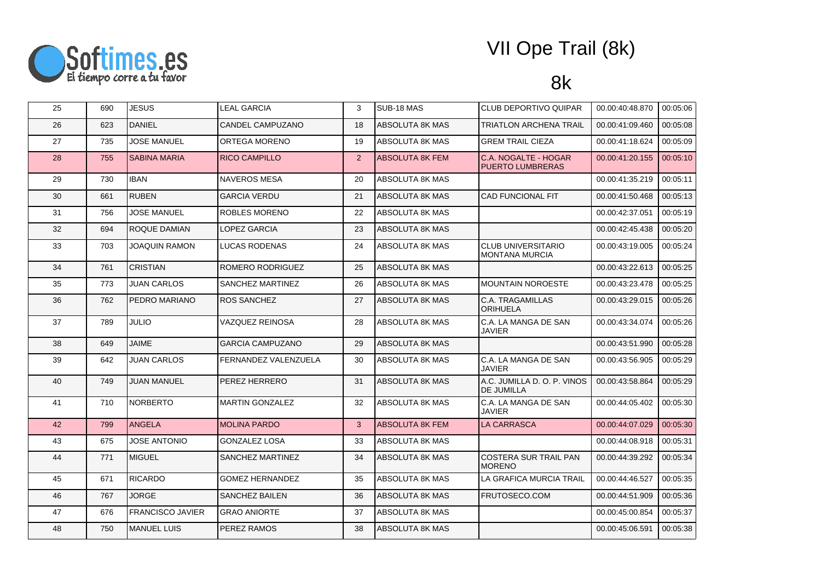

| 25 | 690 | <b>JESUS</b>            | <b>LEAL GARCIA</b>      | 3              | SUB-18 MAS             | CLUB DEPORTIVO QUIPAR                              | 00.00:40:48.870 | 00:05:06 |
|----|-----|-------------------------|-------------------------|----------------|------------------------|----------------------------------------------------|-----------------|----------|
| 26 | 623 | <b>DANIEL</b>           | <b>CANDEL CAMPUZANO</b> | 18             | <b>ABSOLUTA 8K MAS</b> | <b>TRIATLON ARCHENA TRAIL</b>                      | 00.00:41:09.460 | 00:05:08 |
| 27 | 735 | <b>JOSE MANUEL</b>      | <b>ORTEGA MORENO</b>    | 19             | ABSOLUTA 8K MAS        | <b>GREM TRAIL CIEZA</b>                            | 00.00:41:18.624 | 00:05:09 |
| 28 | 755 | <b>SABINA MARIA</b>     | <b>RICO CAMPILLO</b>    | $\overline{2}$ | <b>ABSOLUTA 8K FEM</b> | C.A. NOGALTE - HOGAR<br><b>PUERTO LUMBRERAS</b>    | 00.00:41:20.155 | 00:05:10 |
| 29 | 730 | <b>IBAN</b>             | <b>NAVEROS MESA</b>     | 20             | ABSOLUTA 8K MAS        |                                                    | 00.00:41:35.219 | 00:05:11 |
| 30 | 661 | <b>RUBEN</b>            | <b>GARCIA VERDU</b>     | 21             | ABSOLUTA 8K MAS        | <b>CAD FUNCIONAL FIT</b>                           | 00.00:41:50.468 | 00:05:13 |
| 31 | 756 | <b>JOSE MANUEL</b>      | <b>ROBLES MORENO</b>    | 22             | ABSOLUTA 8K MAS        |                                                    | 00.00:42:37.051 | 00:05:19 |
| 32 | 694 | ROQUE DAMIAN            | LOPEZ GARCIA            | 23             | ABSOLUTA 8K MAS        |                                                    | 00.00:42:45.438 | 00:05:20 |
| 33 | 703 | <b>JOAQUIN RAMON</b>    | LUCAS RODENAS           | 24             | ABSOLUTA 8K MAS        | <b>CLUB UNIVERSITARIO</b><br><b>MONTANA MURCIA</b> | 00.00:43:19.005 | 00:05:24 |
| 34 | 761 | <b>CRISTIAN</b>         | ROMERO RODRIGUEZ        | 25             | ABSOLUTA 8K MAS        |                                                    | 00.00:43:22.613 | 00:05:25 |
| 35 | 773 | <b>JUAN CARLOS</b>      | SANCHEZ MARTINEZ        | 26             | ABSOLUTA 8K MAS        | <b>MOUNTAIN NOROESTE</b>                           | 00.00:43:23.478 | 00:05:25 |
| 36 | 762 | PEDRO MARIANO           | <b>ROS SANCHEZ</b>      | 27             | <b>ABSOLUTA 8K MAS</b> | C.A. TRAGAMILLAS<br><b>ORIHUELA</b>                | 00.00:43:29.015 | 00:05:26 |
| 37 | 789 | <b>JULIO</b>            | VAZQUEZ REINOSA         | 28             | ABSOLUTA 8K MAS        | C.A. LA MANGA DE SAN<br>JAVIER                     | 00.00:43:34.074 | 00:05:26 |
| 38 | 649 | <b>JAIME</b>            | <b>GARCIA CAMPUZANO</b> | 29             | ABSOLUTA 8K MAS        |                                                    | 00.00:43:51.990 | 00:05:28 |
| 39 | 642 | <b>JUAN CARLOS</b>      | FERNANDEZ VALENZUELA    | 30             | ABSOLUTA 8K MAS        | C.A. LA MANGA DE SAN<br><b>JAVIER</b>              | 00.00:43:56.905 | 00:05:29 |
| 40 | 749 | <b>JUAN MANUEL</b>      | <b>PEREZ HERRERO</b>    | 31             | <b>ABSOLUTA 8K MAS</b> | A.C. JUMILLA D. O. P. VINOS<br><b>DE JUMILLA</b>   | 00.00:43:58.864 | 00:05:29 |
| 41 | 710 | <b>NORBERTO</b>         | <b>MARTIN GONZALEZ</b>  | 32             | ABSOLUTA 8K MAS        | C.A. LA MANGA DE SAN<br><b>JAVIER</b>              | 00.00:44:05.402 | 00:05:30 |
| 42 | 799 | <b>ANGELA</b>           | <b>MOLINA PARDO</b>     | 3              | <b>ABSOLUTA 8K FEM</b> | <b>LA CARRASCA</b>                                 | 00.00:44:07.029 | 00:05:30 |
| 43 | 675 | <b>JOSE ANTONIO</b>     | <b>GONZALEZ LOSA</b>    | 33             | ABSOLUTA 8K MAS        |                                                    | 00.00:44:08.918 | 00:05:31 |
| 44 | 771 | <b>MIGUEL</b>           | SANCHEZ MARTINEZ        | 34             | ABSOLUTA 8K MAS        | <b>COSTERA SUR TRAIL PAN</b><br><b>MORENO</b>      | 00.00:44:39.292 | 00:05:34 |
| 45 | 671 | <b>RICARDO</b>          | <b>GOMEZ HERNANDEZ</b>  | 35             | <b>ABSOLUTA 8K MAS</b> | LA GRAFICA MURCIA TRAIL                            | 00.00:44:46.527 | 00:05:35 |
| 46 | 767 | <b>JORGE</b>            | SANCHEZ BAILEN          | 36             | ABSOLUTA 8K MAS        | FRUTOSECO.COM                                      | 00.00:44:51.909 | 00:05:36 |
| 47 | 676 | <b>FRANCISCO JAVIER</b> | <b>GRAO ANIORTE</b>     | 37             | ABSOLUTA 8K MAS        |                                                    | 00.00:45:00.854 | 00:05:37 |
| 48 | 750 | <b>MANUEL LUIS</b>      | <b>PEREZ RAMOS</b>      | 38             | <b>ABSOLUTA 8K MAS</b> |                                                    | 00.00:45:06.591 | 00:05:38 |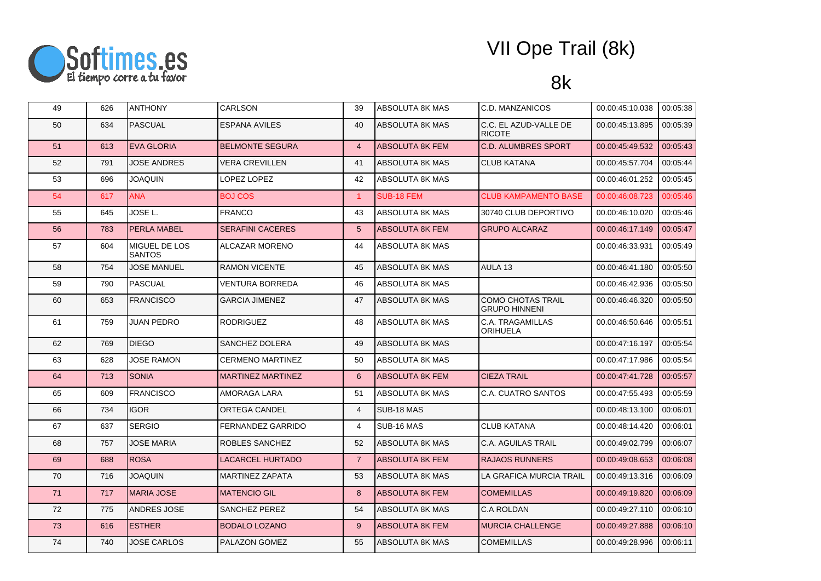

| 49 | 626 | <b>ANTHONY</b>                         | <b>CARLSON</b>           | 39              | ABSOLUTA 8K MAS        | C.D. MANZANICOS                                  | 00.00:45:10.038 | 00:05:38 |
|----|-----|----------------------------------------|--------------------------|-----------------|------------------------|--------------------------------------------------|-----------------|----------|
| 50 | 634 | <b>PASCUAL</b>                         | <b>ESPANA AVILES</b>     | 40              | <b>ABSOLUTA 8K MAS</b> | C.C. EL AZUD-VALLE DE<br><b>RICOTE</b>           | 00.00:45:13.895 | 00:05:39 |
| 51 | 613 | <b>EVA GLORIA</b>                      | <b>BELMONTE SEGURA</b>   | $\overline{4}$  | <b>ABSOLUTA 8K FEM</b> | <b>C.D. ALUMBRES SPORT</b>                       | 00.00:45:49.532 | 00:05:43 |
| 52 | 791 | <b>JOSE ANDRES</b>                     | <b>VERA CREVILLEN</b>    | 41              | <b>ABSOLUTA 8K MAS</b> | <b>CLUB KATANA</b>                               | 00.00:45:57.704 | 00:05:44 |
| 53 | 696 | <b>JOAQUIN</b>                         | LOPEZ LOPEZ              | 42              | ABSOLUTA 8K MAS        |                                                  | 00.00:46:01.252 | 00:05:45 |
| 54 | 617 | <b>ANA</b>                             | <b>BOJ COS</b>           | $\mathbf{1}$    | SUB-18 FEM             | <b>CLUB KAMPAMENTO BASE</b>                      | 00.00:46:08.723 | 00:05:46 |
| 55 | 645 | JOSE L.                                | <b>FRANCO</b>            | 43              | ABSOLUTA 8K MAS        | 30740 CLUB DEPORTIVO                             | 00.00:46:10.020 | 00:05:46 |
| 56 | 783 | PERLA MABEL                            | <b>SERAFINI CACERES</b>  | $5\phantom{.0}$ | <b>ABSOLUTA 8K FEM</b> | <b>GRUPO ALCARAZ</b>                             | 00.00:46:17.149 | 00:05:47 |
| 57 | 604 | <b>IMIGUEL DE LOS</b><br><b>SANTOS</b> | ALCAZAR MORENO           | 44              | ABSOLUTA 8K MAS        |                                                  | 00.00:46:33.931 | 00:05:49 |
| 58 | 754 | <b>JOSE MANUEL</b>                     | <b>RAMON VICENTE</b>     | 45              | <b>ABSOLUTA 8K MAS</b> | AULA 13                                          | 00.00:46:41.180 | 00:05:50 |
| 59 | 790 | <b>PASCUAL</b>                         | VENTURA BORREDA          | 46              | ABSOLUTA 8K MAS        |                                                  | 00.00:46:42.936 | 00:05:50 |
| 60 | 653 | <b>FRANCISCO</b>                       | <b>GARCIA JIMENEZ</b>    | 47              | <b>ABSOLUTA 8K MAS</b> | <b>COMO CHOTAS TRAIL</b><br><b>GRUPO HINNENI</b> | 00.00:46:46.320 | 00:05:50 |
| 61 | 759 | <b>JUAN PEDRO</b>                      | <b>RODRIGUEZ</b>         | 48              | ABSOLUTA 8K MAS        | C.A. TRAGAMILLAS<br>ORIHUELA                     | 00.00:46:50.646 | 00:05:51 |
| 62 | 769 | <b>DIEGO</b>                           | SANCHEZ DOLERA           | 49              | ABSOLUTA 8K MAS        |                                                  | 00.00:47:16.197 | 00:05:54 |
| 63 | 628 | <b>JOSE RAMON</b>                      | <b>CERMENO MARTINEZ</b>  | 50              | ABSOLUTA 8K MAS        |                                                  | 00.00:47:17.986 | 00:05:54 |
| 64 | 713 | <b>SONIA</b>                           | <b>MARTINEZ MARTINEZ</b> | 6               | <b>ABSOLUTA 8K FEM</b> | <b>CIEZA TRAIL</b>                               | 00.00:47:41.728 | 00:05:57 |
| 65 | 609 | <b>FRANCISCO</b>                       | AMORAGA LARA             | 51              | ABSOLUTA 8K MAS        | C.A. CUATRO SANTOS                               | 00.00:47:55.493 | 00:05:59 |
| 66 | 734 | <b>IGOR</b>                            | ORTEGA CANDEL            | $\overline{4}$  | SUB-18 MAS             |                                                  | 00.00:48:13.100 | 00:06:01 |
| 67 | 637 | <b>SERGIO</b>                          | <b>FERNANDEZ GARRIDO</b> | $\overline{4}$  | SUB-16 MAS             | <b>CLUB KATANA</b>                               | 00.00:48:14.420 | 00:06:01 |
| 68 | 757 | <b>JOSE MARIA</b>                      | ROBLES SANCHEZ           | 52              | ABSOLUTA 8K MAS        | <b>C.A. AGUILAS TRAIL</b>                        | 00.00:49:02.799 | 00:06:07 |
| 69 | 688 | <b>ROSA</b>                            | LACARCEL HURTADO         | $\overline{7}$  | <b>ABSOLUTA 8K FEM</b> | <b>RAJAOS RUNNERS</b>                            | 00.00:49:08.653 | 00:06:08 |
| 70 | 716 | <b>JOAQUIN</b>                         | <b>MARTINEZ ZAPATA</b>   | 53              | ABSOLUTA 8K MAS        | LA GRAFICA MURCIA TRAIL                          | 00.00:49:13.316 | 00:06:09 |
| 71 | 717 | <b>MARIA JOSE</b>                      | <b>MATENCIO GIL</b>      | 8               | <b>ABSOLUTA 8K FEM</b> | <b>COMEMILLAS</b>                                | 00.00:49:19.820 | 00:06:09 |
| 72 | 775 | ANDRES JOSE                            | SANCHEZ PEREZ            | 54              | ABSOLUTA 8K MAS        | <b>C.A ROLDAN</b>                                | 00.00:49:27.110 | 00:06:10 |
| 73 | 616 | <b>ESTHER</b>                          | <b>BODALO LOZANO</b>     | 9               | <b>ABSOLUTA 8K FEM</b> | <b>MURCIA CHALLENGE</b>                          | 00.00:49:27.888 | 00:06:10 |
| 74 | 740 | <b>JOSE CARLOS</b>                     | PALAZON GOMEZ            | 55              | <b>ABSOLUTA 8K MAS</b> | <b>COMEMILLAS</b>                                | 00.00:49:28.996 | 00:06:11 |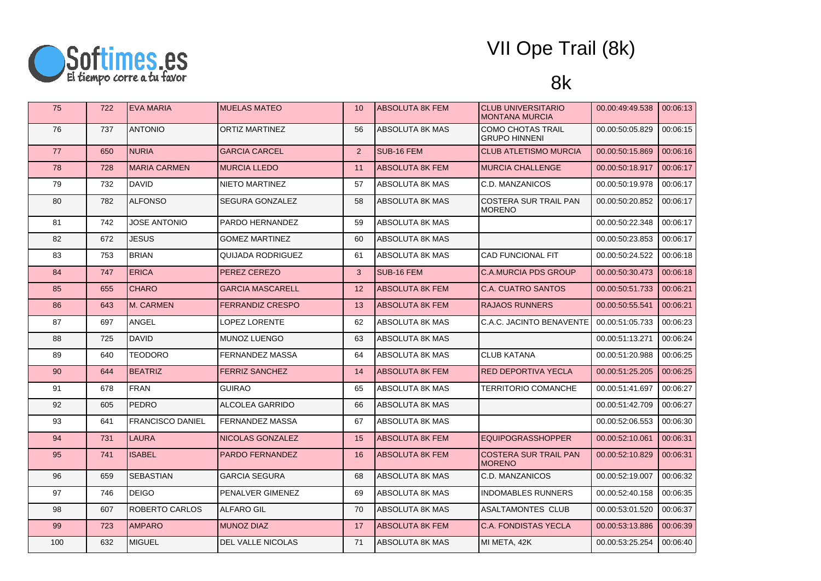

| 75  | 722 | <b>EVA MARIA</b>        | <b>MUELAS MATEO</b>     | 10 | <b>ABSOLUTA 8K FEM</b> | <b>CLUB UNIVERSITARIO</b><br><b>MONTANA MURCIA</b> | 00.00:49:49.538 | 00:06:13 |
|-----|-----|-------------------------|-------------------------|----|------------------------|----------------------------------------------------|-----------------|----------|
| 76  | 737 | <b>ANTONIO</b>          | <b>ORTIZ MARTINEZ</b>   | 56 | ABSOLUTA 8K MAS        | <b>COMO CHOTAS TRAIL</b><br><b>GRUPO HINNENI</b>   | 00.00:50:05.829 | 00:06:15 |
| 77  | 650 | <b>NURIA</b>            | <b>GARCIA CARCEL</b>    | 2  | SUB-16 FEM             | <b>CLUB ATLETISMO MURCIA</b>                       | 00.00:50:15.869 | 00:06:16 |
| 78  | 728 | <b>MARIA CARMEN</b>     | <b>MURCIA LLEDO</b>     | 11 | <b>ABSOLUTA 8K FEM</b> | <b>MURCIA CHALLENGE</b>                            | 00.00:50:18.917 | 00:06:17 |
| 79  | 732 | DAVID                   | NIETO MARTINEZ          | 57 | ABSOLUTA 8K MAS        | C.D. MANZANICOS                                    | 00.00:50:19.978 | 00:06:17 |
| 80  | 782 | <b>ALFONSO</b>          | SEGURA GONZALEZ         | 58 | ABSOLUTA 8K MAS        | <b>COSTERA SUR TRAIL PAN</b><br><b>MORENO</b>      | 00.00:50:20.852 | 00:06:17 |
| 81  | 742 | <b>JOSE ANTONIO</b>     | PARDO HERNANDEZ         | 59 | ABSOLUTA 8K MAS        |                                                    | 00.00:50:22.348 | 00:06:17 |
| 82  | 672 | JESUS                   | <b>GOMEZ MARTINEZ</b>   | 60 | ABSOLUTA 8K MAS        |                                                    | 00.00:50:23.853 | 00:06:17 |
| 83  | 753 | <b>BRIAN</b>            | QUIJADA RODRIGUEZ       | 61 | ABSOLUTA 8K MAS        | <b>CAD FUNCIONAL FIT</b>                           | 00.00:50:24.522 | 00:06:18 |
| 84  | 747 | <b>ERICA</b>            | PEREZ CEREZO            | 3  | SUB-16 FEM             | <b>C.A.MURCIA PDS GROUP</b>                        | 00.00:50:30.473 | 00:06:18 |
| 85  | 655 | <b>CHARO</b>            | <b>GARCIA MASCARELL</b> | 12 | ABSOLUTA 8K FEM        | <b>C.A. CUATRO SANTOS</b>                          | 00.00:50:51.733 | 00:06:21 |
| 86  | 643 | M. CARMEN               | <b>FERRANDIZ CRESPO</b> | 13 | ABSOLUTA 8K FEM        | <b>RAJAOS RUNNERS</b>                              | 00.00:50:55.541 | 00:06:21 |
| 87  | 697 | ANGEL                   | LOPEZ LORENTE           | 62 | ABSOLUTA 8K MAS        | C.A.C. JACINTO BENAVENTE                           | 00.00:51:05.733 | 00:06:23 |
| 88  | 725 | <b>DAVID</b>            | MUNOZ LUENGO            | 63 | ABSOLUTA 8K MAS        |                                                    | 00.00:51:13.271 | 00:06:24 |
| 89  | 640 | <b>TEODORO</b>          | FERNANDEZ MASSA         | 64 | ABSOLUTA 8K MAS        | <b>CLUB KATANA</b>                                 | 00.00:51:20.988 | 00:06:25 |
| 90  | 644 | <b>BEATRIZ</b>          | <b>FERRIZ SANCHEZ</b>   | 14 | ABSOLUTA 8K FEM        | <b>RED DEPORTIVA YECLA</b>                         | 00.00:51:25.205 | 00:06:25 |
| 91  | 678 | <b>FRAN</b>             | <b>GUIRAO</b>           | 65 | ABSOLUTA 8K MAS        | <b>TERRITORIO COMANCHE</b>                         | 00.00:51:41.697 | 00:06:27 |
| 92  | 605 | <b>PEDRO</b>            | ALCOLEA GARRIDO         | 66 | ABSOLUTA 8K MAS        |                                                    | 00.00:51:42.709 | 00:06:27 |
| 93  | 641 | <b>FRANCISCO DANIEL</b> | FERNANDEZ MASSA         | 67 | ABSOLUTA 8K MAS        |                                                    | 00.00:52:06.553 | 00:06:30 |
| 94  | 731 | <b>LAURA</b>            | NICOLAS GONZALEZ        | 15 | <b>ABSOLUTA 8K FEM</b> | <b>EQUIPOGRASSHOPPER</b>                           | 00.00:52:10.061 | 00:06:31 |
| 95  | 741 | <b>ISABEL</b>           | PARDO FERNANDEZ         | 16 | <b>ABSOLUTA 8K FEM</b> | <b>COSTERA SUR TRAIL PAN</b><br><b>MORENO</b>      | 00.00:52:10.829 | 00:06:31 |
| 96  | 659 | <b>SEBASTIAN</b>        | GARCIA SEGURA           | 68 | ABSOLUTA 8K MAS        | C.D. MANZANICOS                                    | 00.00:52:19.007 | 00:06:32 |
| 97  | 746 | <b>DEIGO</b>            | PENALVER GIMENEZ        | 69 | ABSOLUTA 8K MAS        | <b>INDOMABLES RUNNERS</b>                          | 00.00:52:40.158 | 00:06:35 |
| 98  | 607 | ROBERTO CARLOS          | <b>ALFARO GIL</b>       | 70 | ABSOLUTA 8K MAS        | <b>ASALTAMONTES CLUB</b>                           | 00.00:53:01.520 | 00:06:37 |
| 99  | 723 | <b>AMPARO</b>           | <b>MUNOZ DIAZ</b>       | 17 | <b>ABSOLUTA 8K FEM</b> | C.A. FONDISTAS YECLA                               | 00.00:53:13.886 | 00:06:39 |
| 100 | 632 | <b>MIGUEL</b>           | DEL VALLE NICOLAS       | 71 | ABSOLUTA 8K MAS        | MI META, 42K                                       | 00.00:53:25.254 | 00:06:40 |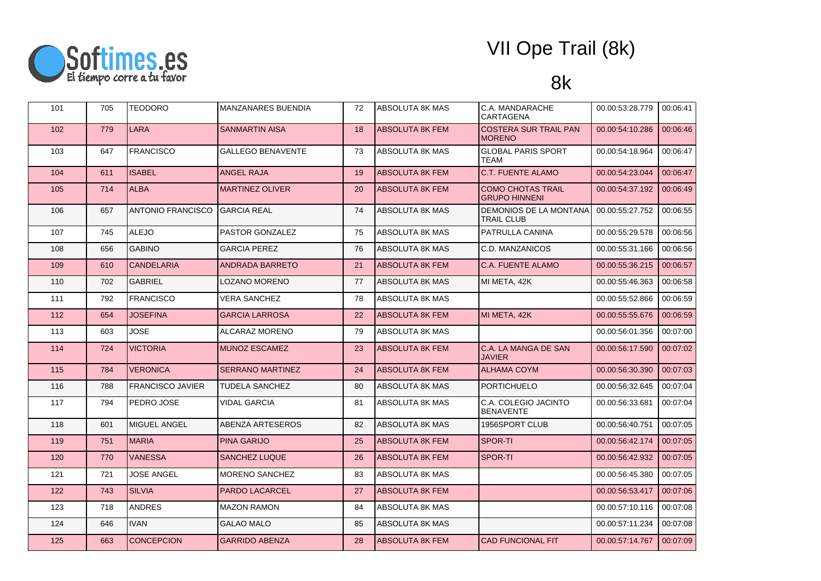

| 101 | 705 | <b>TEODORO</b>           | <b>MANZANARES BUENDIA</b> | 72 | ABSOLUTA 8K MAS        | C.A. MANDARACHE<br>CARTAGENA                     | 00.00:53:28.779 | 00:06:41 |
|-----|-----|--------------------------|---------------------------|----|------------------------|--------------------------------------------------|-----------------|----------|
| 102 | 779 | <b>LARA</b>              | <b>SANMARTIN AISA</b>     | 18 | <b>ABSOLUTA 8K FEM</b> | <b>COSTERA SUR TRAIL PAN</b><br><b>MORENO</b>    | 00.00:54:10.286 | 00:06:46 |
| 103 | 647 | <b>FRANCISCO</b>         | GALLEGO BENAVENTE         | 73 | ABSOLUTA 8K MAS        | <b>GLOBAL PARIS SPORT</b><br>TEAM                | 00.00:54:18.964 | 00:06:47 |
| 104 | 611 | <b>ISABEL</b>            | <b>ANGEL RAJA</b>         | 19 | <b>ABSOLUTA 8K FEM</b> | <b>C.T. FUENTE ALAMO</b>                         | 00.00:54:23.044 | 00:06:47 |
| 105 | 714 | <b>ALBA</b>              | <b>MARTINEZ OLIVER</b>    | 20 | <b>ABSOLUTA 8K FEM</b> | <b>COMO CHOTAS TRAIL</b><br><b>GRUPO HINNENI</b> | 00.00:54:37.192 | 00:06:49 |
| 106 | 657 | <b>ANTONIO FRANCISCO</b> | <b>GARCIA REAL</b>        | 74 | ABSOLUTA 8K MAS        | DEMONIOS DE LA MONTANA<br><b>TRAIL CLUB</b>      | 00.00:55:27.752 | 00:06:55 |
| 107 | 745 | <b>ALEJO</b>             | <b>PASTOR GONZALEZ</b>    | 75 | ABSOLUTA 8K MAS        | PATRULLA CANINA                                  | 00.00:55:29.578 | 00:06:56 |
| 108 | 656 | <b>GABINO</b>            | <b>GARCIA PEREZ</b>       | 76 | ABSOLUTA 8K MAS        | C.D. MANZANICOS                                  | 00.00:55:31.166 | 00:06:56 |
| 109 | 610 | <b>CANDELARIA</b>        | <b>ANDRADA BARRETO</b>    | 21 | ABSOLUTA 8K FEM        | C.A. FUENTE ALAMO                                | 00.00:55:36.215 | 00:06:57 |
| 110 | 702 | <b>GABRIEL</b>           | LOZANO MORENO             | 77 | ABSOLUTA 8K MAS        | MI META, 42K                                     | 00.00:55:46.363 | 00:06:58 |
| 111 | 792 | <b>FRANCISCO</b>         | <b>VERA SANCHEZ</b>       | 78 | ABSOLUTA 8K MAS        |                                                  | 00.00:55:52.866 | 00:06:59 |
| 112 | 654 | <b>JOSEFINA</b>          | GARCIA LARROSA            | 22 | ABSOLUTA 8K FEM        | MI META, 42K                                     | 00.00:55:55.676 | 00:06:59 |
| 113 | 603 | <b>JOSE</b>              | ALCARAZ MORENO            | 79 | ABSOLUTA 8K MAS        |                                                  | 00.00:56:01.356 | 00:07:00 |
| 114 | 724 | <b>VICTORIA</b>          | <b>MUNOZ ESCAMEZ</b>      | 23 | ABSOLUTA 8K FEM        | C.A. LA MANGA DE SAN<br><b>JAVIER</b>            | 00.00:56:17.590 | 00:07:02 |
| 115 | 784 | <b>VERONICA</b>          | <b>SERRANO MARTINEZ</b>   | 24 | <b>ABSOLUTA 8K FEM</b> | <b>ALHAMA COYM</b>                               | 00.00:56:30.390 | 00:07:03 |
| 116 | 788 | <b>FRANCISCO JAVIER</b>  | TUDELA SANCHEZ            | 80 | ABSOLUTA 8K MAS        | <b>PORTICHUELO</b>                               | 00.00:56:32.645 | 00:07:04 |
| 117 | 794 | PEDRO JOSE               | VIDAL GARCIA              | 81 | ABSOLUTA 8K MAS        | C.A. COLEGIO JACINTO<br><b>BENAVENTE</b>         | 00.00:56:33.681 | 00:07:04 |
| 118 | 601 | <b>MIGUEL ANGEL</b>      | <b>ABENZA ARTESEROS</b>   | 82 | ABSOLUTA 8K MAS        | 1956SPORT CLUB                                   | 00.00:56:40.751 | 00:07:05 |
| 119 | 751 | <b>MARIA</b>             | <b>PINA GARIJO</b>        | 25 | ABSOLUTA 8K FEM        | <b>SPOR-TI</b>                                   | 00.00:56:42.174 | 00:07:05 |
| 120 | 770 | <b>VANESSA</b>           | <b>SANCHEZ LUQUE</b>      | 26 | ABSOLUTA 8K FEM        | SPOR-TI                                          | 00.00:56:42.932 | 00:07:05 |
| 121 | 721 | <b>JOSE ANGEL</b>        | <b>MORENO SANCHEZ</b>     | 83 | ABSOLUTA 8K MAS        |                                                  | 00.00:56:45.380 | 00:07:05 |
| 122 | 743 | <b>SILVIA</b>            | PARDO LACARCEL            | 27 | ABSOLUTA 8K FEM        |                                                  | 00.00:56:53.417 | 00:07:06 |
| 123 | 718 | <b>ANDRES</b>            | <b>MAZON RAMON</b>        | 84 | ABSOLUTA 8K MAS        |                                                  | 00.00:57:10.116 | 00:07:08 |
| 124 | 646 | <b>IVAN</b>              | <b>GALAO MALO</b>         | 85 | ABSOLUTA 8K MAS        |                                                  | 00.00:57:11.234 | 00:07:08 |
| 125 | 663 | <b>CONCEPCION</b>        | <b>GARRIDO ABENZA</b>     | 28 | <b>ABSOLUTA 8K FEM</b> | <b>CAD FUNCIONAL FIT</b>                         | 00.00:57:14.767 | 00:07:09 |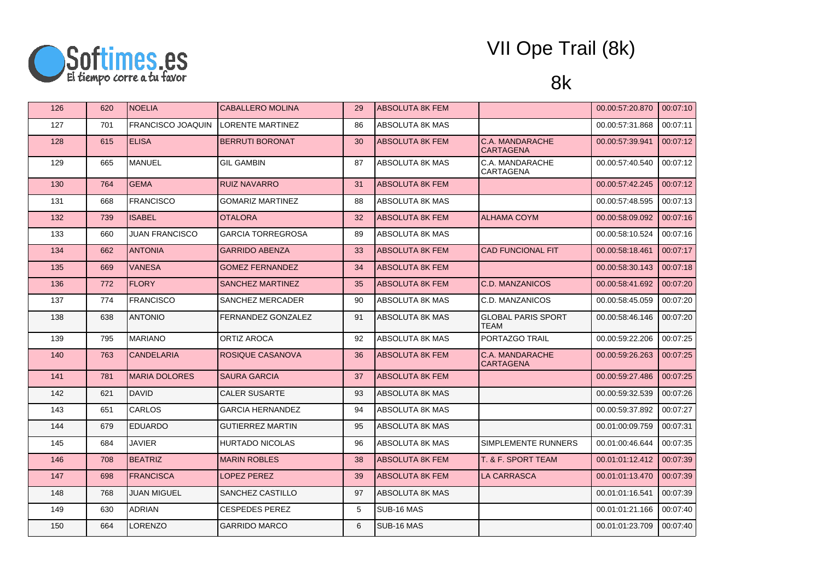

| 126 | 620 | <b>INOELIA</b>           | <b>CABALLERO MOLINA</b>  | 29 | <b>ABSOLUTA 8K FEM</b> |                                            | 00.00:57:20.870 | 00:07:10 |
|-----|-----|--------------------------|--------------------------|----|------------------------|--------------------------------------------|-----------------|----------|
| 127 | 701 | <b>FRANCISCO JOAQUIN</b> | <b>LORENTE MARTINEZ</b>  | 86 | ABSOLUTA 8K MAS        |                                            | 00.00:57:31.868 | 00:07:11 |
| 128 | 615 | <b>ELISA</b>             | <b>BERRUTI BORONAT</b>   | 30 | <b>ABSOLUTA 8K FEM</b> | C.A. MANDARACHE<br><b>CARTAGENA</b>        | 00.00:57:39.941 | 00:07:12 |
| 129 | 665 | MANUEL                   | <b>GIL GAMBIN</b>        | 87 | ABSOLUTA 8K MAS        | C.A. MANDARACHE<br>CARTAGENA               | 00.00:57:40.540 | 00:07:12 |
| 130 | 764 | <b>GEMA</b>              | <b>RUIZ NAVARRO</b>      | 31 | <b>ABSOLUTA 8K FEM</b> |                                            | 00.00:57:42.245 | 00:07:12 |
| 131 | 668 | <b>FRANCISCO</b>         | <b>GOMARIZ MARTINEZ</b>  | 88 | ABSOLUTA 8K MAS        |                                            | 00.00:57:48.595 | 00:07:13 |
| 132 | 739 | <b>ISABEL</b>            | <b>OTALORA</b>           | 32 | <b>ABSOLUTA 8K FEM</b> | <b>ALHAMA COYM</b>                         | 00.00:58:09.092 | 00:07:16 |
| 133 | 660 | <b>JUAN FRANCISCO</b>    | <b>GARCIA TORREGROSA</b> | 89 | <b>ABSOLUTA 8K MAS</b> |                                            | 00.00:58:10.524 | 00:07:16 |
| 134 | 662 | <b>ANTONIA</b>           | <b>GARRIDO ABENZA</b>    | 33 | <b>ABSOLUTA 8K FEM</b> | <b>CAD FUNCIONAL FIT</b>                   | 00.00:58:18.461 | 00:07:17 |
| 135 | 669 | <b>VANESA</b>            | <b>GOMEZ FERNANDEZ</b>   | 34 | <b>ABSOLUTA 8K FEM</b> |                                            | 00.00:58:30.143 | 00:07:18 |
| 136 | 772 | <b>FLORY</b>             | SANCHEZ MARTINEZ         | 35 | <b>ABSOLUTA 8K FEM</b> | C.D. MANZANICOS                            | 00.00:58:41.692 | 00:07:20 |
| 137 | 774 | <b>FRANCISCO</b>         | SANCHEZ MERCADER         | 90 | ABSOLUTA 8K MAS        | C.D. MANZANICOS                            | 00.00:58:45.059 | 00:07:20 |
| 138 | 638 | <b>ANTONIO</b>           | FERNANDEZ GONZALEZ       | 91 | <b>ABSOLUTA 8K MAS</b> | <b>GLOBAL PARIS SPORT</b><br><b>TEAM</b>   | 00.00:58:46.146 | 00:07:20 |
| 139 | 795 | <b>IMARIANO</b>          | <b>ORTIZ AROCA</b>       | 92 | <b>ABSOLUTA 8K MAS</b> | PORTAZGO TRAIL                             | 00.00:59:22.206 | 00:07:25 |
| 140 | 763 | <b>CANDELARIA</b>        | ROSIQUE CASANOVA         | 36 | <b>ABSOLUTA 8K FEM</b> | <b>C.A. MANDARACHE</b><br><b>CARTAGENA</b> | 00.00:59:26.263 | 00:07:25 |
| 141 | 781 | <b>MARIA DOLORES</b>     | <b>SAURA GARCIA</b>      | 37 | <b>ABSOLUTA 8K FEM</b> |                                            | 00.00:59:27.486 | 00:07:25 |
| 142 | 621 | <b>IDAVID</b>            | <b>CALER SUSARTE</b>     | 93 | <b>ABSOLUTA 8K MAS</b> |                                            | 00.00:59:32.539 | 00:07:26 |
| 143 | 651 | <b>CARLOS</b>            | <b>GARCIA HERNANDEZ</b>  | 94 | ABSOLUTA 8K MAS        |                                            | 00.00:59:37.892 | 00:07:27 |
| 144 | 679 | <b>EDUARDO</b>           | <b>GUTIERREZ MARTIN</b>  | 95 | ABSOLUTA 8K MAS        |                                            | 00.01:00:09.759 | 00:07:31 |
| 145 | 684 | <b>JAVIER</b>            | <b>HURTADO NICOLAS</b>   | 96 | ABSOLUTA 8K MAS        | SIMPLEMENTE RUNNERS                        | 00.01:00:46.644 | 00:07:35 |
| 146 | 708 | <b>BEATRIZ</b>           | <b>MARIN ROBLES</b>      | 38 | <b>ABSOLUTA 8K FEM</b> | T. & F. SPORT TEAM                         | 00.01:01:12.412 | 00:07:39 |
| 147 | 698 | <b>FRANCISCA</b>         | <b>LOPEZ PEREZ</b>       | 39 | <b>ABSOLUTA 8K FEM</b> | <b>LA CARRASCA</b>                         | 00.01:01:13.470 | 00:07:39 |
| 148 | 768 | <b>JUAN MIGUEL</b>       | SANCHEZ CASTILLO         | 97 | <b>ABSOLUTA 8K MAS</b> |                                            | 00.01:01:16.541 | 00:07:39 |
| 149 | 630 | ADRIAN                   | <b>CESPEDES PEREZ</b>    | 5  | SUB-16 MAS             |                                            | 00.01:01:21.166 | 00:07:40 |
| 150 | 664 | LORENZO                  | <b>GARRIDO MARCO</b>     | 6  | SUB-16 MAS             |                                            | 00.01:01:23.709 | 00:07:40 |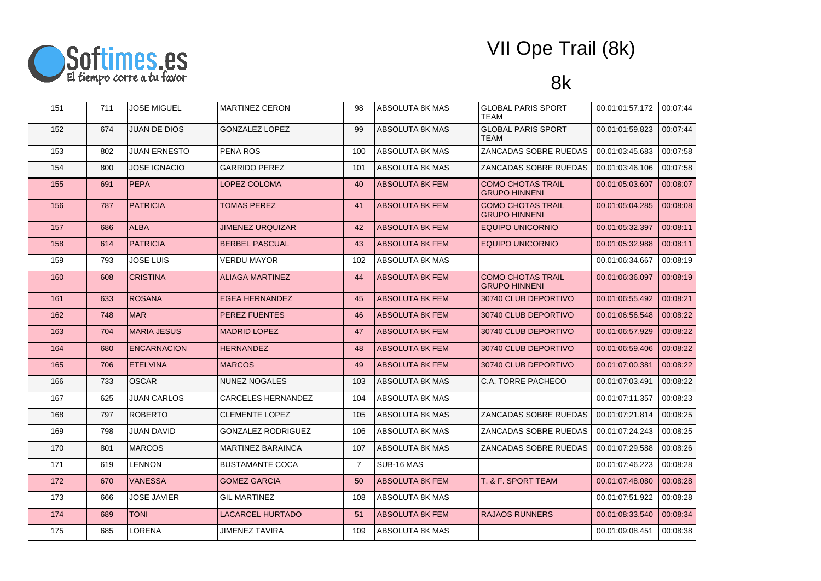

| 151 | 711 | JOSE MIGUEL         | <b>MARTINEZ CERON</b>     | 98             | <b>ABSOLUTA 8K MAS</b> | <b>GLOBAL PARIS SPORT</b><br>TEAM                | 00.01:01:57.172 | 00:07:44 |
|-----|-----|---------------------|---------------------------|----------------|------------------------|--------------------------------------------------|-----------------|----------|
| 152 | 674 | <b>JUAN DE DIOS</b> | <b>GONZALEZ LOPEZ</b>     | 99             | ABSOLUTA 8K MAS        | <b>GLOBAL PARIS SPORT</b><br>TEAM                | 00.01:01:59.823 | 00:07:44 |
| 153 | 802 | <b>JUAN ERNESTO</b> | PENA ROS                  | 100            | ABSOLUTA 8K MAS        | ZANCADAS SOBRE RUEDAS                            | 00.01:03:45.683 | 00:07:58 |
| 154 | 800 | <b>JOSE IGNACIO</b> | <b>GARRIDO PEREZ</b>      | 101            | ABSOLUTA 8K MAS        | ZANCADAS SOBRE RUEDAS                            | 00.01.03.46.106 | 00:07:58 |
| 155 | 691 | <b>PEPA</b>         | LOPEZ COLOMA              | 40             | ABSOLUTA 8K FEM        | <b>COMO CHOTAS TRAIL</b><br><b>GRUPO HINNENI</b> | 00.01:05:03.607 | 00:08:07 |
| 156 | 787 | <b>PATRICIA</b>     | <b>TOMAS PEREZ</b>        | 41             | <b>ABSOLUTA 8K FEM</b> | <b>COMO CHOTAS TRAIL</b><br><b>GRUPO HINNENI</b> | 00.01:05:04.285 | 00:08:08 |
| 157 | 686 | <b>ALBA</b>         | <b>JIMENEZ URQUIZAR</b>   | 42             | <b>ABSOLUTA 8K FEM</b> | <b>EQUIPO UNICORNIO</b>                          | 00.01:05:32.397 | 00:08:11 |
| 158 | 614 | <b>PATRICIA</b>     | <b>BERBEL PASCUAL</b>     | 43             | <b>ABSOLUTA 8K FEM</b> | <b>EQUIPO UNICORNIO</b>                          | 00.01:05:32.988 | 00:08:11 |
| 159 | 793 | <b>JOSE LUIS</b>    | VERDU MAYOR               | 102            | ABSOLUTA 8K MAS        |                                                  | 00.01:06:34.667 | 00:08:19 |
| 160 | 608 | <b>CRISTINA</b>     | <b>ALIAGA MARTINEZ</b>    | 44             | <b>ABSOLUTA 8K FEM</b> | <b>COMO CHOTAS TRAIL</b><br><b>GRUPO HINNENI</b> | 00.01:06:36.097 | 00:08:19 |
| 161 | 633 | <b>ROSANA</b>       | <b>EGEA HERNANDEZ</b>     | 45             | <b>ABSOLUTA 8K FEM</b> | 30740 CLUB DEPORTIVO                             | 00.01:06:55.492 | 00:08:21 |
| 162 | 748 | <b>MAR</b>          | <b>PEREZ FUENTES</b>      | 46             | <b>ABSOLUTA 8K FEM</b> | 30740 CLUB DEPORTIVO                             | 00.01:06:56.548 | 00:08:22 |
| 163 | 704 | <b>MARIA JESUS</b>  | <b>MADRID LOPEZ</b>       | 47             | ABSOLUTA 8K FEM        | 30740 CLUB DEPORTIVO                             | 00.01:06:57.929 | 00:08:22 |
| 164 | 680 | <b>ENCARNACION</b>  | <b>HERNANDEZ</b>          | 48             | <b>ABSOLUTA 8K FEM</b> | 30740 CLUB DEPORTIVO                             | 00.01.06.59.406 | 00:08:22 |
| 165 | 706 | <b>ETELVINA</b>     | <b>MARCOS</b>             | 49             | <b>ABSOLUTA 8K FEM</b> | 30740 CLUB DEPORTIVO                             | 00.01:07:00.381 | 00:08:22 |
| 166 | 733 | <b>OSCAR</b>        | <b>NUNEZ NOGALES</b>      | 103            | <b>ABSOLUTA 8K MAS</b> | C.A. TORRE PACHECO                               | 00.01:07:03.491 | 00:08:22 |
| 167 | 625 | <b>JUAN CARLOS</b>  | CARCELES HERNANDEZ        | 104            | ABSOLUTA 8K MAS        |                                                  | 00.01:07:11.357 | 00:08:23 |
| 168 | 797 | <b>ROBERTO</b>      | <b>CLEMENTE LOPEZ</b>     | 105            | <b>ABSOLUTA 8K MAS</b> | ZANCADAS SOBRE RUEDAS                            | 00.01:07:21.814 | 00:08:25 |
| 169 | 798 | JUAN DAVID          | <b>GONZALEZ RODRIGUEZ</b> | 106            | ABSOLUTA 8K MAS        | ZANCADAS SOBRE RUEDAS                            | 00.01:07:24.243 | 00:08:25 |
| 170 | 801 | <b>IMARCOS</b>      | <b>MARTINEZ BARAINCA</b>  | 107            | ABSOLUTA 8K MAS        | ZANCADAS SOBRE RUEDAS                            | 00.01:07:29.588 | 00:08:26 |
| 171 | 619 | LENNON              | <b>BUSTAMANTE COCA</b>    | $\overline{7}$ | SUB-16 MAS             |                                                  | 00.01:07:46.223 | 00:08:28 |
| 172 | 670 | <b>VANESSA</b>      | <b>GOMEZ GARCIA</b>       | 50             | ABSOLUTA 8K FEM        | T. & F. SPORT TEAM                               | 00.01:07:48.080 | 00:08:28 |
| 173 | 666 | <b>JOSE JAVIER</b>  | <b>GIL MARTINEZ</b>       | 108            | ABSOLUTA 8K MAS        |                                                  | 00.01:07:51.922 | 00:08:28 |
| 174 | 689 | <b>TONI</b>         | LACARCEL HURTADO          | 51             | ABSOLUTA 8K FEM        | <b>RAJAOS RUNNERS</b>                            | 00.01:08:33.540 | 00:08:34 |
| 175 | 685 | LORENA              | <b>JIMENEZ TAVIRA</b>     | 109            | ABSOLUTA 8K MAS        |                                                  | 00.01:09:08.451 | 00:08:38 |
|     |     |                     |                           |                |                        |                                                  |                 |          |